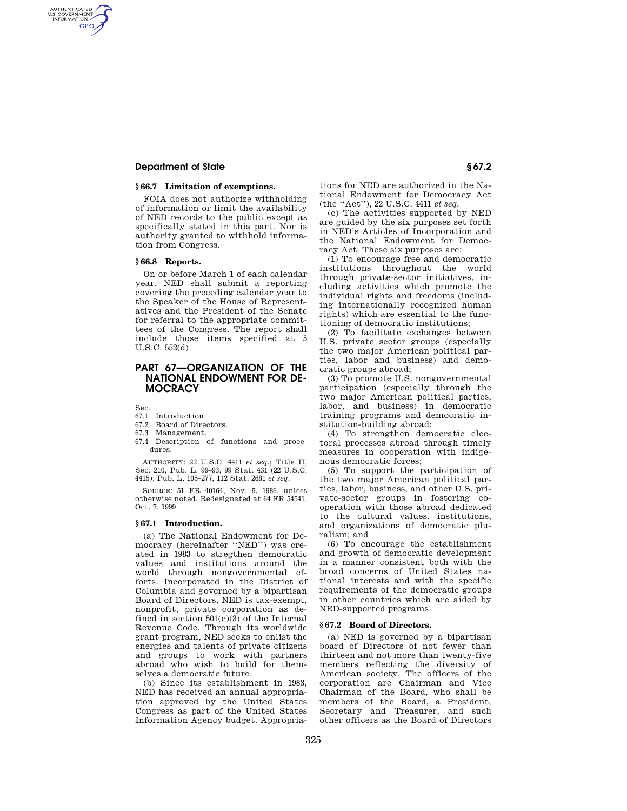### **Department of State § 67.2**

AUTHENTICATED<br>U.S. GOVERNMENT<br>INFORMATION **GPO** 

### **§ 66.7 Limitation of exemptions.**

FOIA does not authorize withholding of information or limit the availability of NED records to the public except as specifically stated in this part. Nor is authority granted to withhold information from Congress.

#### **§ 66.8 Reports.**

On or before March 1 of each calendar year, NED shall submit a reporting covering the preceding calendar year to the Speaker of the House of Representatives and the President of the Senate for referral to the appropriate committees of the Congress. The report shall include those items specified at 5 U.S.C. 552(d).

## **PART 67—ORGANIZATION OF THE NATIONAL ENDOWMENT FOR DE-MOCRACY**

Sec.

- 67.1 Introduction.
- 67.2 Board of Directors.
- 67.3 Management.
- 67.4 Description of functions and procedures.

AUTHORITY: 22 U.S.C. 4411 *et seq.*; Title II, Sec. 210, Pub. L. 99–93, 99 Stat. 431 (22 U.S.C. 4415); Pub. L. 105–277, 112 Stat. 2681 *et seq.* 

SOURCE: 51 FR 40164, Nov. 5, 1986, unless otherwise noted. Redesignated at 64 FR 54541, Oct. 7, 1999.

#### **§ 67.1 Introduction.**

(a) The National Endowment for Democracy (hereinafter ''NED'') was created in 1983 to stregthen democratic values and institutions around the world through nongovernmental efforts. Incorporated in the District of Columbia and governed by a bipartisan Board of Directors, NED is tax-exempt, nonprofit, private corporation as defined in section 501(c)(3) of the Internal Revenue Code. Through its worldwide grant program, NED seeks to enlist the energies and talents of private citizens and groups to work with partners abroad who wish to build for themselves a democratic future.

(b) Since its establishment in 1983, NED has received an annual appropriation approved by the United States Congress as part of the United States Information Agency budget. Appropriations for NED are authorized in the National Endowment for Democracy Act (the ''Act''), 22 U.S.C. 4411 *et seq.* 

(c) The activities supported by NED are guided by the six purposes set forth in NED's Articles of Incorporation and the National Endowment for Democracy Act. These six purposes are:

(1) To encourage free and democratic institutions throughout the world through private-sector initiatives, including activities which promote the individual rights and freedoms (including internationally recognized human rights) which are essential to the functioning of democratic institutions;

(2) To facilitate exchanges between U.S. private sector groups (especially the two major American political parties, labor and business) and democratic groups abroad;

(3) To promote U.S. nongovernmental participation (especially through the two major American political parties, labor, and business) in democratic training programs and democratic institution-building abroad;

(4) To strengthen democratic electoral processes abroad through timely measures in cooperation with indigenous democratic forces;

(5) To support the participation of the two major American political parties, labor, business, and other U.S. private-sector groups in fostering cooperation with those abroad dedicated to the cultural values, institutions, and organizations of democratic pluralism; and

(6) To encourage the establishment and growth of democratic development in a manner consistent both with the broad concerns of United States national interests and with the specific requirements of the democratic groups in other countries which are aided by NED-supported programs.

### **§ 67.2 Board of Directors.**

(a) NED is governed by a bipartisan board of Directors of not fewer than thirteen and not more than twenty-five members reflecting the diversity of American society. The officers of the corporation are Chairman and Vice Chairman of the Board, who shall be members of the Board, a President, Secretary and Treasurer, and such other officers as the Board of Directors